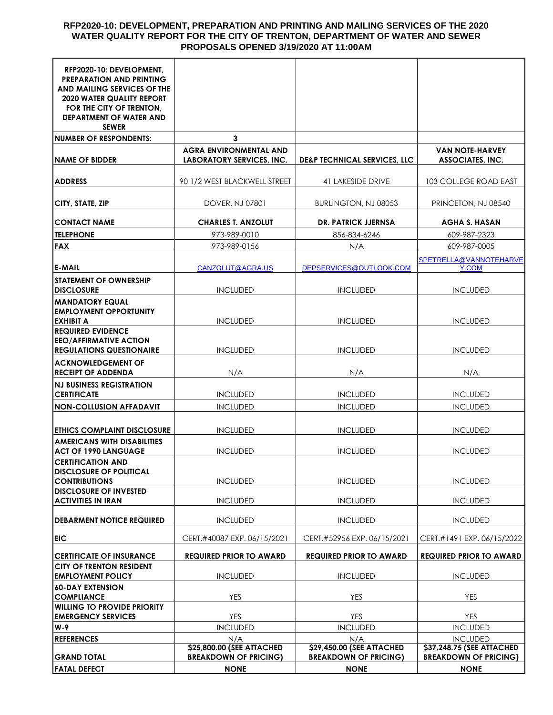### **RFP2020-10: DEVELOPMENT, PREPARATION AND PRINTING AND MAILING SERVICES OF THE 2020 WATER QUALITY REPORT FOR THE CITY OF TRENTON, DEPARTMENT OF WATER AND SEWER PROPOSALS OPENED 3/19/2020 AT 11:00AM**

| RFP2020-10: DEVELOPMENT,<br><b>PREPARATION AND PRINTING</b><br>AND MAILING SERVICES OF THE<br><b>2020 WATER QUALITY REPORT</b><br>FOR THE CITY OF TRENTON.<br><b>DEPARTMENT OF WATER AND</b><br><b>SEWER</b> |                                                                  |                                                                   |                                                           |
|--------------------------------------------------------------------------------------------------------------------------------------------------------------------------------------------------------------|------------------------------------------------------------------|-------------------------------------------------------------------|-----------------------------------------------------------|
| <b>NUMBER OF RESPONDENTS:</b>                                                                                                                                                                                | 3                                                                |                                                                   |                                                           |
| <b>NAME OF BIDDER</b>                                                                                                                                                                                        | <b>AGRA ENVIRONMENTAL AND</b><br>LABORATORY SERVICES, INC.       | <b>DE&amp;P TECHNICAL SERVICES, LLC</b>                           | <b>VAN NOTE-HARVEY</b><br>ASSOCIATES, INC.                |
| <b>ADDRESS</b>                                                                                                                                                                                               | 90 1/2 WEST BLACKWELL STREET                                     | 41 LAKESIDE DRIVE                                                 | 103 COLLEGE ROAD EAST                                     |
| CITY, STATE, ZIP                                                                                                                                                                                             | DOVER, NJ 07801                                                  | BURLINGTON, NJ 08053                                              | PRINCETON, NJ 08540                                       |
| <b>CONTACT NAME</b>                                                                                                                                                                                          | <b>CHARLES T. ANZOLUT</b>                                        | <b>DR. PATRICK JJERNSA</b>                                        | AGHA S. HASAN                                             |
| <b>TELEPHONE</b>                                                                                                                                                                                             | 973-989-0010                                                     | 856-834-6246                                                      | 609-987-2323                                              |
| <b>FAX</b>                                                                                                                                                                                                   | 973-989-0156                                                     | N/A                                                               | 609-987-0005                                              |
|                                                                                                                                                                                                              |                                                                  |                                                                   | SPETRELLA@VANNOTEHARVE                                    |
| <b>E-MAIL</b>                                                                                                                                                                                                | CANZOLUT@AGRA.US                                                 | DEPSERVICES@OUTLOOK.COM                                           | Y.COM                                                     |
| <b>STATEMENT OF OWNERSHIP</b><br><b>DISCLOSURE</b>                                                                                                                                                           | <b>INCLUDED</b>                                                  | <b>INCLUDED</b>                                                   | <b>INCLUDED</b>                                           |
| <b>MANDATORY EQUAL</b><br><b>EMPLOYMENT OPPORTUNITY</b>                                                                                                                                                      |                                                                  |                                                                   |                                                           |
| <b>EXHIBIT A</b><br><b>REQUIRED EVIDENCE</b><br><b>EEO/AFFIRMATIVE ACTION</b>                                                                                                                                | <b>INCLUDED</b>                                                  | <b>INCLUDED</b>                                                   | <b>INCLUDED</b>                                           |
| <b>REGULATIONS QUESTIONAIRE</b><br><b>ACKNOWLEDGEMENT OF</b>                                                                                                                                                 | <b>INCLUDED</b>                                                  | <b>INCLUDED</b>                                                   | <b>INCLUDED</b>                                           |
| <b>RECEIPT OF ADDENDA</b>                                                                                                                                                                                    | N/A                                                              | N/A                                                               | N/A                                                       |
| <b>NJ BUSINESS REGISTRATION</b><br><b>CERTIFICATE</b>                                                                                                                                                        | <b>INCLUDED</b>                                                  | <b>INCLUDED</b>                                                   | <b>INCLUDED</b>                                           |
| <b>NON-COLLUSION AFFADAVIT</b>                                                                                                                                                                               | <b>INCLUDED</b>                                                  | <b>INCLUDED</b>                                                   | <b>INCLUDED</b>                                           |
|                                                                                                                                                                                                              |                                                                  |                                                                   |                                                           |
| <b>ETHICS COMPLAINT DISCLOSURE</b><br><b>AMERICANS WITH DISABILITIES</b>                                                                                                                                     | <b>INCLUDED</b>                                                  | <b>INCLUDED</b>                                                   | <b>INCLUDED</b>                                           |
| <b>ACT OF 1990 LANGUAGE</b>                                                                                                                                                                                  | <b>INCLUDED</b>                                                  | <b>INCLUDED</b>                                                   | <b>INCLUDED</b>                                           |
| <b>CERTIFICATION AND</b><br><b>DISCLOSURE OF POLITICAL</b><br><b>CONTRIBUTIONS</b>                                                                                                                           | <b>INCLUDED</b>                                                  | <b>INCLUDED</b>                                                   | <b>INCLUDED</b>                                           |
| <b>DISCLOSURE OF INVESTED</b>                                                                                                                                                                                |                                                                  |                                                                   |                                                           |
| <b>ACTIVITIES IN IRAN</b>                                                                                                                                                                                    | <b>INCLUDED</b>                                                  | <b>INCLUDED</b>                                                   | <b>INCLUDED</b>                                           |
| <b>DEBARMENT NOTICE REQUIRED</b>                                                                                                                                                                             | <b>INCLUDED</b>                                                  | <b>INCLUDED</b>                                                   | <b>INCLUDED</b>                                           |
| <b>EIC</b>                                                                                                                                                                                                   | CERT.#40087 EXP. 06/15/2021                                      | CERT.#52956 EXP. 06/15/2021                                       | CERT.#1491 EXP. 06/15/2022                                |
| <b>CERTIFICATE OF INSURANCE</b>                                                                                                                                                                              | <b>REQUIRED PRIOR TO AWARD</b>                                   | <b>REQUIRED PRIOR TO AWARD</b>                                    | <b>REQUIRED PRIOR TO AWARD</b>                            |
| <b>CITY OF TRENTON RESIDENT</b><br><b>EMPLOYMENT POLICY</b>                                                                                                                                                  | <b>INCLUDED</b>                                                  | <b>INCLUDED</b>                                                   | <b>INCLUDED</b>                                           |
| <b>60-DAY EXTENSION</b><br><b>COMPLIANCE</b>                                                                                                                                                                 | <b>YES</b>                                                       | <b>YES</b>                                                        | <b>YES</b>                                                |
| <b>WILLING TO PROVIDE PRIORITY</b><br><b>EMERGENCY SERVICES</b>                                                                                                                                              | <b>YES</b>                                                       | <b>YES</b>                                                        | <b>YES</b>                                                |
| W-9                                                                                                                                                                                                          | <b>INCLUDED</b>                                                  | <b>INCLUDED</b>                                                   | <b>INCLUDED</b>                                           |
| <b>REFERENCES</b>                                                                                                                                                                                            | N/A                                                              | N/A                                                               | <b>INCLUDED</b>                                           |
| <b>GRAND TOTAL</b>                                                                                                                                                                                           | <b>\$25,800.00 (SEE ATTACHED</b><br><b>BREAKDOWN OF PRICING)</b> | <b>\$29,450.00 (SEE ATTACHED)</b><br><b>BREAKDOWN OF PRICING)</b> | \$37,248.75 (SEE ATTACHED<br><b>BREAKDOWN OF PRICING)</b> |
| <b>FATAL DEFECT</b>                                                                                                                                                                                          | <b>NONE</b>                                                      | <b>NONE</b>                                                       | <b>NONE</b>                                               |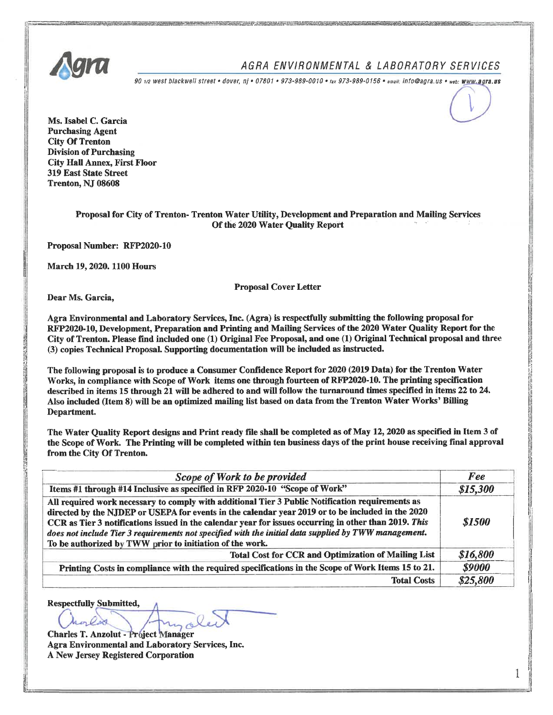

### AGRA ENVIRONMENTAL & LABORATORY SERVICES

90 1/2 west blackwell street • dover, nj • 07801 • 973-989-0010 • tax 973-989-0156 • email: info@agra.us • web: WWW.agra.us

Ms. Isabel C. Garcia **Purchasing Agent City Of Trenton Division of Purchasing City Hall Annex, First Floor 319 East State Street** Trenton, NJ 08608

#### Proposal for City of Trenton- Trenton Water Utility, Development and Preparation and Mailing Services Of the 2020 Water Ouality Report

Proposal Number: RFP2020-10

March 19, 2020. 1100 Hours

**Proposal Cover Letter** 

Dear Ms. Garcia,

Agra Environmental and Laboratory Services, Inc. (Agra) is respectfully submitting the following proposal for RFP2020-10, Development, Preparation and Printing and Mailing Services of the 2020 Water Quality Report for the City of Trenton. Please find included one (1) Original Fee Proposal, and one (1) Original Technical proposal and three (3) copies Technical Proposal. Supporting documentation will be included as instructed.

The following proposal is to produce a Consumer Confidence Report for 2020 (2019 Data) for the Trenton Water Works, in compliance with Scope of Work items one through fourteen of RFP2020-10. The printing specification described in items 15 through 21 will be adhered to and will follow the turnaround times specified in items 22 to 24. Also included (Item 8) will be an optimized mailing list based on data from the Trenton Water Works' Billing Department.

The Water Quality Report designs and Print ready file shall be completed as of May 12, 2020 as specified in Item 3 of the Scope of Work. The Printing will be completed within ten business days of the print house receiving final approval from the City Of Trenton.

| Scope of Work to be provided                                                                                                                                                                                                                                                                                                                                                                                                                                                       | Fee      |
|------------------------------------------------------------------------------------------------------------------------------------------------------------------------------------------------------------------------------------------------------------------------------------------------------------------------------------------------------------------------------------------------------------------------------------------------------------------------------------|----------|
| Items #1 through #14 Inclusive as specified in RFP 2020-10 "Scope of Work"                                                                                                                                                                                                                                                                                                                                                                                                         | \$15,300 |
| All required work necessary to comply with additional Tier 3 Public Notification requirements as<br>directed by the NJDEP or USEPA for events in the calendar year 2019 or to be included in the 2020<br>CCR as Tier 3 notifications issued in the calendar year for issues occurring in other than 2019. This<br>does not include Tier 3 requirements not specified with the initial data supplied by TWW management.<br>To be authorized by TWW prior to initiation of the work. | \$1500   |
| <b>Total Cost for CCR and Optimization of Mailing List</b>                                                                                                                                                                                                                                                                                                                                                                                                                         | \$16,800 |
| Printing Costs in compliance with the required specifications in the Scope of Work Items 15 to 21.                                                                                                                                                                                                                                                                                                                                                                                 | \$9000   |
| <b>Total Costs</b>                                                                                                                                                                                                                                                                                                                                                                                                                                                                 | \$25,800 |

**Respectfully Submitted,** orless

**Charles T. Anzolut - Project Manager** Agra Environmental and Laboratory Services, Inc. A New Jersey Registered Corporation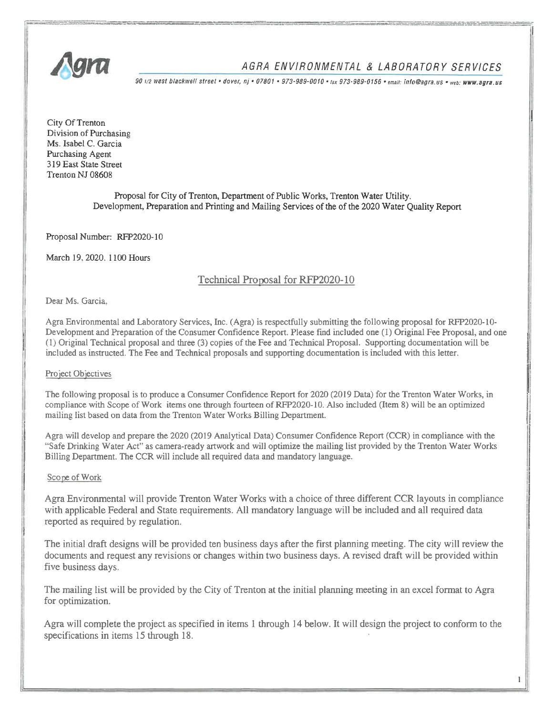

## AGRA ENVIRONMENTAL & LABORATORY SERVICES

90 1/2 West blackwell street • dover, nj • 07801 • 973-989-0010 • tax 973-989-0156 • email: info@agra.us • web: WWW.agra.us

City Of Trenton Division of Purchasing Ms. Isabel C. Garcia Purchasing Agent 319 East State Street Trenton NJ 08608

> Proposal for City of Trenton, Department of Public Works, Trenton Water Utility, Development, Preparation and Printing and Mailing Services of the of the 2020 Water Quality Report

Proposal Number: RFP2020-10

March 19, 2020, 1100 Hours

### Technical Proposal for RFP2020-10

Dear Ms. Garcia.

Agra Environmental and Laboratory Services, Inc. (Agra) is respectfully submitting the following proposal for RFP2020-10-Development and Preparation of the Consumer Confidence Report. Please find included one (1) Original Fee Proposal, and one (1) Original Technical proposal and three (3) copies of the Fee and Technical Proposal. Supporting documentation will be included as instructed. The Fee and Technical proposals and supporting documentation is included with this letter.

#### Project Objectives

The following proposal is to produce a Consumer Confidence Report for 2020 (2019 Data) for the Trenton Water Works, in compliance with Scope of Work items one through fourteen of RFP2020-10. Also included (Item 8) will be an optimized mailing list based on data from the Trenton Water Works Billing Department.

Agra will develop and prepare the 2020 (2019 Analytical Data) Consumer Confidence Report (CCR) in compliance with the "Safe Drinking Water Act" as camera-ready artwork and will optimize the mailing list provided by the Trenton Water Works Billing Department. The CCR will include all required data and mandatory language.

#### Scope of Work

Agra Environmental will provide Trenton Water Works with a choice of three different CCR layouts in compliance with applicable Federal and State requirements. All mandatory language will be included and all required data reported as required by regulation.

The initial draft designs will be provided ten business days after the first planning meeting. The city will review the documents and request any revisions or changes within two business days. A revised draft will be provided within five business days.

The mailing list will be provided by the City of Trenton at the initial planning meeting in an excel format to Agra for optimization.

Agra will complete the project as specified in items 1 through 14 below. It will design the project to conform to the specifications in items 15 through 18.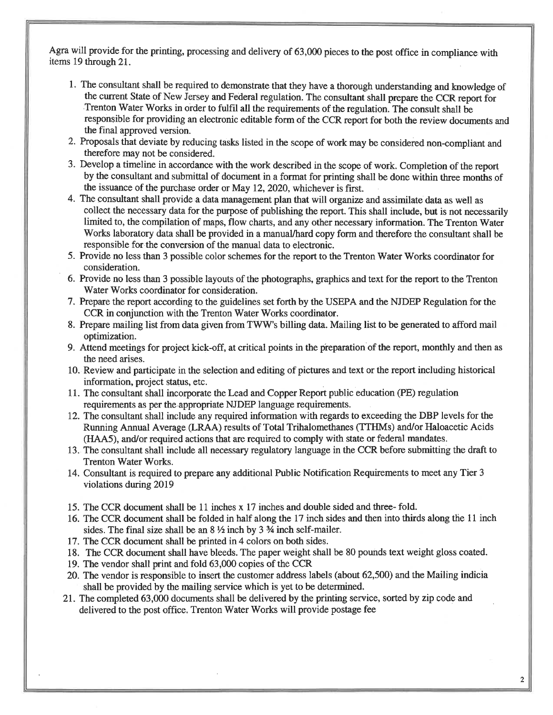Agra will provide for the printing, processing and delivery of 63,000 pieces to the post office in compliance with items 19 through 21.

- 1. The consultant shall be required to demonstrate that they have a thorough understanding and knowledge of the current State of New Jersey and Federal regulation. The consultant shall prepare the CCR report for Trenton Water Works in order to fulfil all the requirements of the regulation. The consult shall be responsible for providing an electronic editable form of the CCR report for both the review documents and the final approved version.
- 2. Proposals that deviate by reducing tasks listed in the scope of work may be considered non-compliant and therefore may not be considered.
- 3. Develop a timeline in accordance with the work described in the scope of work. Completion of the report by the consultant and submittal of document in a format for printing shall be done within three months of the issuance of the purchase order or May 12, 2020, whichever is first.
- 4. The consultant shall provide a data management plan that will organize and assimilate data as well as collect the necessary data for the purpose of publishing the report. This shall include, but is not necessarily limited to, the compilation of maps, flow charts, and any other necessary information. The Trenton Water Works laboratory data shall be provided in a manual/hard copy form and therefore the consultant shall be responsible for the conversion of the manual data to electronic.
- 5. Provide no less than 3 possible color schemes for the report to the Trenton Water Works coordinator for consideration.
- 6. Provide no less than 3 possible layouts of the photographs, graphics and text for the report to the Trenton Water Works coordinator for consideration.
- 7. Prepare the report according to the guidelines set forth by the USEPA and the NJDEP Regulation for the CCR in conjunction with the Trenton Water Works coordinator.
- 8. Prepare mailing list from data given from TWW's billing data. Mailing list to be generated to afford mail optimization.
- 9. Attend meetings for project kick-off, at critical points in the preparation of the report, monthly and then as the need arises.
- 10. Review and participate in the selection and editing of pictures and text or the report including historical information, project status, etc.
- 11. The consultant shall incorporate the Lead and Copper Report public education (PE) regulation requirements as per the appropriate NJDEP language requirements.
- 12. The consultant shall include any required information with regards to exceeding the DBP levels for the Running Annual Average (LRAA) results of Total Trihalomethanes (TTHMs) and/or Haloacetic Acids (HAA5), and/or required actions that are required to comply with state or federal mandates.
- 13. The consultant shall include all necessary regulatory language in the CCR before submitting the draft to Trenton Water Works.
- 14. Consultant is required to prepare any additional Public Notification Requirements to meet any Tier 3 violations during 2019
- 15. The CCR document shall be 11 inches x 17 inches and double sided and three-fold.
- 16. The CCR document shall be folded in half along the 17 inch sides and then into thirds along the 11 inch sides. The final size shall be an  $8\frac{1}{2}$  inch by 3  $\frac{3}{4}$  inch self-mailer.
- 17. The CCR document shall be printed in 4 colors on both sides.
- 18. The CCR document shall have bleeds. The paper weight shall be 80 pounds text weight gloss coated.
- 19. The vendor shall print and fold 63,000 copies of the CCR
- 20. The vendor is responsible to insert the customer address labels (about 62,500) and the Mailing indicial shall be provided by the mailing service which is yet to be determined.
- 21. The completed 63,000 documents shall be delivered by the printing service, sorted by zip code and delivered to the post office. Trenton Water Works will provide postage fee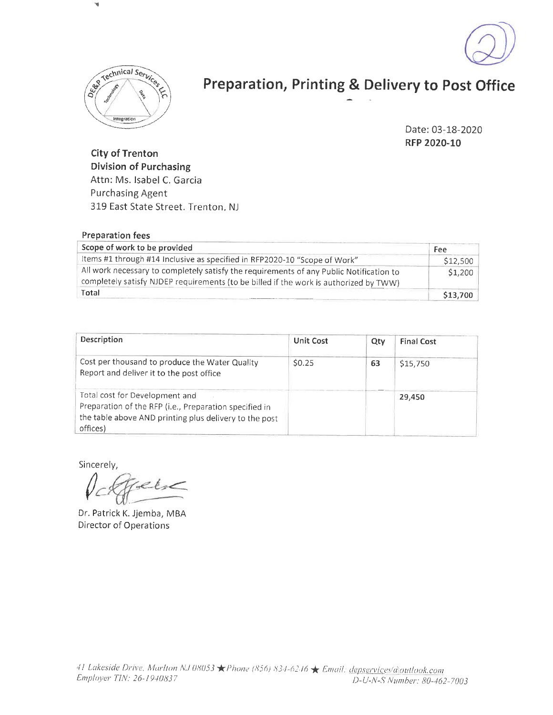



# Preparation, Printing & Delivery to Post Office

Date: 03-18-2020 RFP 2020-10

**City of Trenton Division of Purchasing** Attn: Ms. Isabel C. Garcia **Purchasing Agent** 319 East State Street. Trenton, NJ

| Preparation fees                                                                                                                                                                 |          |
|----------------------------------------------------------------------------------------------------------------------------------------------------------------------------------|----------|
| Scope of work to be provided                                                                                                                                                     | Fee      |
| Items #1 through #14 Inclusive as specified in RFP2020-10 "Scope of Work"                                                                                                        | \$12,500 |
| All work necessary to completely satisfy the requirements of any Public Notification to<br>completely satisfy NJDEP requirements (to be billed if the work is authorized by TWW) | \$1,200  |
| Total                                                                                                                                                                            | \$13,700 |

| Description                                                                                                                                                    | <b>Unit Cost</b> | Qty | <b>Final Cost</b> |
|----------------------------------------------------------------------------------------------------------------------------------------------------------------|------------------|-----|-------------------|
| Cost per thousand to produce the Water Quality<br>Report and deliver it to the post office                                                                     | \$0.25           | 63  | \$15,750          |
| Total cost for Development and<br>Preparation of the RFP (i.e., Preparation specified in<br>the table above AND printing plus delivery to the post<br>offices) |                  |     | 29,450            |

Sincerely,

 $2e<sub>1</sub>$ 

Dr. Patrick K. Jjemba, MBA Director of Operations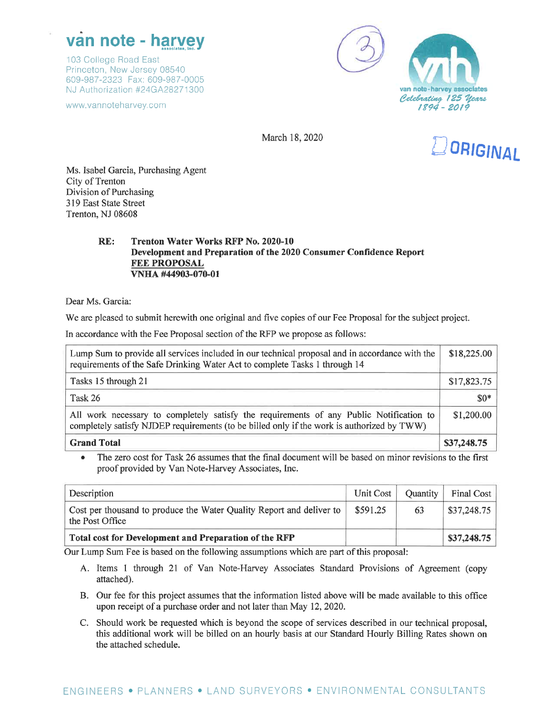# van note - harvey

103 College Road East Princeton, New Jersey 08540 609-987-2323 Fax: 609-987-0005 NJ Authorization #24GA28271300

www.vannoteharvey.com



March 18, 2020



Ms. Isabel Garcia, Purchasing Agent City of Trenton Division of Purchasing 319 East State Street Trenton, NJ 08608

#### $RE:$ **Trenton Water Works RFP No. 2020-10** Development and Preparation of the 2020 Consumer Confidence Report **FEE PROPOSAL** VNHA #44903-070-01

Dear Ms. Garcia:

We are pleased to submit herewith one original and five copies of our Fee Proposal for the subject project.

In accordance with the Fee Proposal section of the RFP we propose as follows:

| Lump Sum to provide all services included in our technical proposal and in accordance with the<br>requirements of the Safe Drinking Water Act to complete Tasks 1 through 14          |             |
|---------------------------------------------------------------------------------------------------------------------------------------------------------------------------------------|-------------|
| Tasks 15 through 21                                                                                                                                                                   | \$17,823.75 |
| Task 26                                                                                                                                                                               | $$0*$       |
| All work necessary to completely satisfy the requirements of any Public Notification to<br>completely satisfy NJDEP requirements (to be billed only if the work is authorized by TWW) | \$1,200.00  |
| <b>Grand Total</b>                                                                                                                                                                    | \$37,248.75 |

The zero cost for Task 26 assumes that the final document will be based on minor revisions to the first proof provided by Van Note-Harvey Associates, Inc.

| Description                                                                             | Unit Cost | Quantity | Final Cost  |
|-----------------------------------------------------------------------------------------|-----------|----------|-------------|
| Cost per thousand to produce the Water Quality Report and deliver to<br>the Post Office | \$591.25  | 63       | \$37,248.75 |
| Total cost for Development and Preparation of the RFP                                   |           |          | \$37,248.75 |

Our Lump Sum Fee is based on the following assumptions which are part of this proposal:

- A. Items 1 through 21 of Van Note-Harvey Associates Standard Provisions of Agreement (copy attached).
- B. Our fee for this project assumes that the information listed above will be made available to this office upon receipt of a purchase order and not later than May 12, 2020.
- C. Should work be requested which is beyond the scope of services described in our technical proposal, this additional work will be billed on an hourly basis at our Standard Hourly Billing Rates shown on the attached schedule.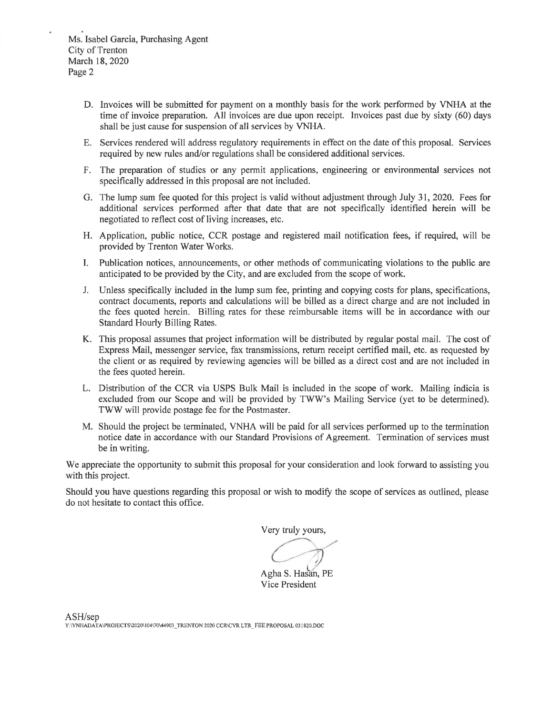- D. Invoices will be submitted for payment on a monthly basis for the work performed by VNHA at the time of invoice preparation. All invoices are due upon receipt. Invoices past due by sixty (60) days shall be just cause for suspension of all services by VNHA.
- E. Services rendered will address regulatory requirements in effect on the date of this proposal. Services required by new rules and/or regulations shall be considered additional services.
- F. The preparation of studies or any permit applications, engineering or environmental services not specifically addressed in this proposal are not included.
- G. The lump sum fee quoted for this project is valid without adjustment through July 31, 2020. Fees for additional services performed after that date that are not specifically identified herein will be negotiated to reflect cost of living increases, etc.
- H. Application, public notice, CCR postage and registered mail notification fees, if required, will be provided by Trenton Water Works.
- I. Publication notices, announcements, or other methods of communicating violations to the public are anticipated to be provided by the City, and are excluded from the scope of work.
- J. Unless specifically included in the lump sum fee, printing and copying costs for plans, specifications, contract documents, reports and calculations will be billed as a direct charge and are not included in the fees quoted herein. Billing rates for these reimbursable items will be in accordance with our Standard Hourly Billing Rates.
- K. This proposal assumes that project information will be distributed by regular postal mail. The cost of Express Mail, messenger service, fax transmissions, return receipt certified mail, etc. as requested by the client or as required by reviewing agencies will be billed as a direct cost and are not included in the fees quoted herein.
- L. Distribution of the CCR via USPS Bulk Mail is included in the scope of work. Mailing indicia is excluded from our Scope and will be provided by TWW's Mailing Service (yet to be determined). TWW will provide postage fee for the Postmaster.
- M. Should the project be terminated, VNHA will be paid for all services performed up to the termination notice date in accordance with our Standard Provisions of Agreement. Termination of services must be in writing.

We appreciate the opportunity to submit this proposal for your consideration and look forward to assisting you with this project.

Should you have questions regarding this proposal or wish to modify the scope of services as outlined, please do not hesitate to contact this office.

Very truly yours,

Agha S. Hasan, PE Vice President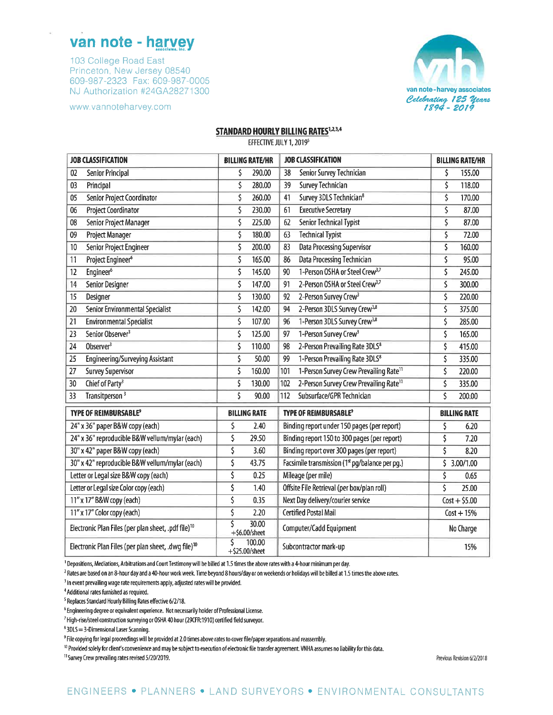## van note - harvey

103 College Road East Princeton, New Jersey 08540 609-987-2323 Fax: 609-987-0005 NJ Authorization #24GA28271300

www.vannoteharvey.com



#### **STANDARD HOURLY BILLING RATES<sup>1,2,3,4</sup>**

EFFECTIVE JULY 1, 2019<sup>5</sup>

| <b>JOB CLASSIFICATION</b>                                       | <b>BILLING RATE/HR</b>           | <b>JOB CLASSIFICATION</b>                          | <b>BILLING RATE/HR</b> |
|-----------------------------------------------------------------|----------------------------------|----------------------------------------------------|------------------------|
| 02                                                              | \$                               | Senior Survey Technician                           | \$                     |
| <b>Senior Principal</b>                                         | 290.00                           | 38                                                 | 155.00                 |
| Principal                                                       | \$                               | Survey Technician                                  | \$                     |
| 03                                                              | 280.00                           | 39                                                 | 118.00                 |
| Senior Project Coordinator                                      | \$                               | Survey 3DLS Technician <sup>8</sup>                | \$                     |
| 05                                                              | 260.00                           | 41                                                 | 170.00                 |
| Project Coordinator                                             | \$                               | <b>Executive Secretary</b>                         | \$                     |
| 06                                                              | 230.00                           | 61                                                 | 87.00                  |
| Senior Project Manager                                          | \$                               | Senior Technical Typist                            | \$                     |
| 08                                                              | 225.00                           | 62                                                 | 87.00                  |
| Project Manager                                                 | \$                               | <b>Technical Typist</b>                            | \$                     |
| 09                                                              | 180.00                           | 63                                                 | 72.00                  |
| Senior Project Engineer                                         | \$                               | <b>Data Processing Supervisor</b>                  | \$                     |
| 10                                                              | 200.00                           | 83                                                 | 160.00                 |
| Project Engineer <sup>6</sup>                                   | \$                               | Data Processing Technician                         | \$                     |
| 11                                                              | 165.00                           | 86                                                 | 95.00                  |
| Engineer <sup>6</sup>                                           | \$                               | 1-Person OSHA or Steel Crew <sup>3,7</sup>         | \$                     |
| 12                                                              | 145.00                           | 90                                                 | 245.00                 |
| 14                                                              | \$                               | 2-Person OSHA or Steel Crew <sup>3,7</sup>         | \$                     |
| Senior Designer                                                 | 147.00                           | 91                                                 | 300.00                 |
| 15                                                              | \$                               | 2-Person Survey Crew <sup>3</sup>                  | \$                     |
| Designer                                                        | 130.00                           | 92                                                 | 220.00                 |
| Senior Environmental Specialist                                 | \$                               | 2-Person 3DLS Survey Crew <sup>3,8</sup>           | \$                     |
| 20                                                              | 142.00                           | 94                                                 | 375.00                 |
| <b>Environmental Specialist</b>                                 | \$                               | 1-Person 3DLS Survey Crew <sup>3,8</sup>           | \$                     |
| 21                                                              | 107.00                           | 96                                                 | 285.00                 |
| Senior Observer <sup>3</sup>                                    | \$                               | 1-Person Survey Crew <sup>3</sup>                  | \$                     |
| 23                                                              | 125.00                           | 97                                                 | 165.00                 |
| Observer <sup>3</sup>                                           | \$                               | 2-Person Prevailing Rate 3DLS <sup>8</sup>         | \$                     |
| 24                                                              | 110.00                           | 98                                                 | 415.00                 |
| <b>Engineering/Surveying Assistant</b>                          | \$                               | 1-Person Prevailing Rate 3DLS <sup>8</sup>         | \$                     |
| 25                                                              | 50.00                            | 99                                                 | 335.00                 |
| <b>Survey Supervisor</b>                                        | \$                               | 1-Person Survey Crew Prevailing Rate <sup>11</sup> | \$                     |
| 27                                                              | 160.00                           | 101                                                | 220.00                 |
| Chief of Party <sup>3</sup>                                     | \$                               | 2-Person Survey Crew Prevailing Rate <sup>11</sup> | \$                     |
| 30                                                              | 130.00                           | 102                                                | 335.00                 |
| Transitperson <sup>3</sup>                                      | \$                               | Subsurface/GPR Technician                          | \$                     |
| 33                                                              | 90.00                            | 112                                                | 200.00                 |
| <b>TYPE OF REIMBURSABLE<sup>9</sup></b>                         | <b>BILLING RATE</b>              | <b>TYPE OF REIMBURSABLE<sup>9</sup></b>            | <b>BILLING RATE</b>    |
| 24" x 36" paper B&W copy (each)                                 | \$<br>2.40                       | Binding report under 150 pages (per report)        | \$<br>6.20             |
| 24" x 36" reproducible B&W vellum/mylar (each)                  | \$<br>29.50                      | Binding report 150 to 300 pages (per report)       | \$<br>7.20             |
| 30" x 42" paper B&W copy (each)                                 | \$<br>3.60                       | Binding report over 300 pages (per report)         | \$<br>8.20             |
| 30" x 42" reproducible B&W vellum/mylar (each)                  | \$<br>43.75                      | Facsimile transmission (1st pg/balance per pg.)    | \$<br>3.00/1.00        |
| Letter or Legal size B&W copy (each)                            | \$<br>0.25                       | Mileage (per mile)                                 | \$<br>0.65             |
| Letter or Legal size Color copy (each)                          | \$<br>1.40                       | Offsite File Retrieval (per box/plan roll)         | \$<br>25.00            |
| 11" x 17" B&W copy (each)                                       | \$<br>0.35                       | Next Day delivery/courier service                  | $Cost + $5.00$         |
| 11" x 17" Color copy (each)                                     | \$<br>2.20                       | <b>Certified Postal Mail</b>                       | $Cost + 15%$           |
| Electronic Plan Files (per plan sheet, .pdf file) <sup>10</sup> | š<br>30.00<br>$+$ \$6.00/sheet   | Computer/Cadd Equipment                            | No Charge              |
| Electronic Plan Files (per plan sheet, .dwg file) <sup>10</sup> | Ś<br>100.00<br>$+$ \$25.00/sheet | Subcontractor mark-up                              | 15%                    |

<sup>1</sup> Depositions, Mediations, Arbitrations and Court Testimony will be billed at 1.5 times the above rates with a 4-hour minimum per day.

<sup>2</sup> Rates are based on an 8-hour day and a 40-hour work week. Time beyond 8 hours/day or on weekends or holidays will be billed at 1.5 times the above rates.

<sup>3</sup> In event prevailing wage rate requirements apply, adjusted rates will be provided.

<sup>4</sup> Additional rates furnished as required.

<sup>5</sup> Replaces Standard Hourly Billing Rates effective 6/2/18.

<sup>6</sup> Engineering degree or equivalent experience. Not necessarily holder of Professional License.

<sup>7</sup> High-rise/steel construction surveying or OSHA 40 hour (29CFR: 1910) certified field surveyor.

<sup>8</sup> 3DLS = 3-Dimensional Laser Scanning.

<sup>9</sup> File copying for legal proceedings will be provided at 2.0 times above rates to cover file/paper separations and reassembly.

<sup>10</sup> Provided solely for client's convenience and may be subject to execution of electronic file transfer agreement. VNHA assumes no liability for this data.

<sup>11</sup> Survey Crew prevailing rates revised 5/20/2019.

Previous Revision 6/2/2018